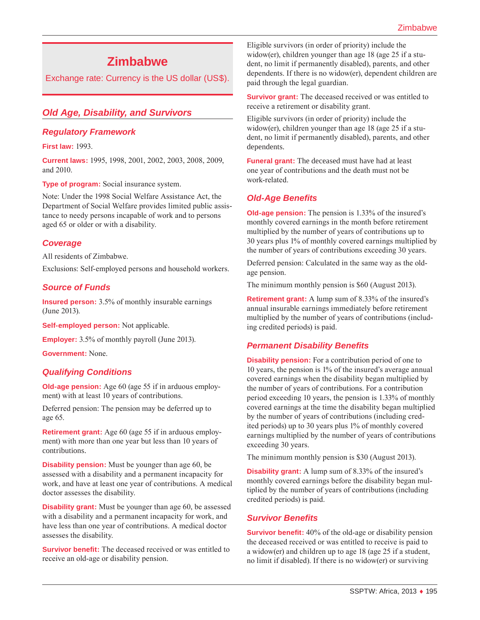# **Zimbabwe**

Exchange rate: Currency is the US dollar (US\$).

# *Old Age, Disability, and Survivors*

### *Regulatory Framework*

**First law:** 1993.

**Current laws:** 1995, 1998, 2001, 2002, 2003, 2008, 2009, and 2010.

**Type of program:** Social insurance system.

Note: Under the 1998 Social Welfare Assistance Act, the Department of Social Welfare provides limited public assistance to needy persons incapable of work and to persons aged 65 or older or with a disability.

### *Coverage*

All residents of Zimbabwe.

Exclusions: Self-employed persons and household workers.

### *Source of Funds*

**Insured person:** 3.5% of monthly insurable earnings (June 2013).

**Self-employed person:** Not applicable.

**Employer:** 3.5% of monthly payroll (June 2013).

**Government:** None.

### *Qualifying Conditions*

**Old-age pension:** Age 60 (age 55 if in arduous employment) with at least 10 years of contributions.

Deferred pension: The pension may be deferred up to age 65.

**Retirement grant:** Age 60 (age 55 if in arduous employment) with more than one year but less than 10 years of contributions.

**Disability pension:** Must be younger than age 60, be assessed with a disability and a permanent incapacity for work, and have at least one year of contributions. A medical doctor assesses the disability.

**Disability grant:** Must be younger than age 60, be assessed with a disability and a permanent incapacity for work, and have less than one year of contributions. A medical doctor assesses the disability.

**Survivor benefit:** The deceased received or was entitled to receive an old-age or disability pension.

Eligible survivors (in order of priority) include the widow(er), children younger than age 18 (age 25 if a student, no limit if permanently disabled), parents, and other dependents. If there is no widow(er), dependent children are paid through the legal guardian.

**Survivor grant:** The deceased received or was entitled to receive a retirement or disability grant.

Eligible survivors (in order of priority) include the widow(er), children younger than age 18 (age 25 if a student, no limit if permanently disabled), parents, and other dependents.

**Funeral grant:** The deceased must have had at least one year of contributions and the death must not be work-related.

### *Old-Age Benefits*

**Old-age pension:** The pension is 1.33% of the insured's monthly covered earnings in the month before retirement multiplied by the number of years of contributions up to 30 years plus 1% of monthly covered earnings multiplied by the number of years of contributions exceeding 30 years.

Deferred pension: Calculated in the same way as the oldage pension.

The minimum monthly pension is \$60 (August 2013).

**Retirement grant:** A lump sum of 8.33% of the insured's annual insurable earnings immediately before retirement multiplied by the number of years of contributions (including credited periods) is paid.

### *Permanent Disability Benefits*

**Disability pension:** For a contribution period of one to 10 years, the pension is 1% of the insured's average annual covered earnings when the disability began multiplied by the number of years of contributions. For a contribution period exceeding 10 years, the pension is 1.33% of monthly covered earnings at the time the disability began multiplied by the number of years of contributions (including credited periods) up to 30 years plus 1% of monthly covered earnings multiplied by the number of years of contributions exceeding 30 years.

The minimum monthly pension is \$30 (August 2013).

**Disability grant:** A lump sum of 8.33% of the insured's monthly covered earnings before the disability began multiplied by the number of years of contributions (including credited periods) is paid.

#### *Survivor Benefits*

**Survivor benefit:** 40% of the old-age or disability pension the deceased received or was entitled to receive is paid to a widow(er) and children up to age 18 (age 25 if a student, no limit if disabled). If there is no widow(er) or surviving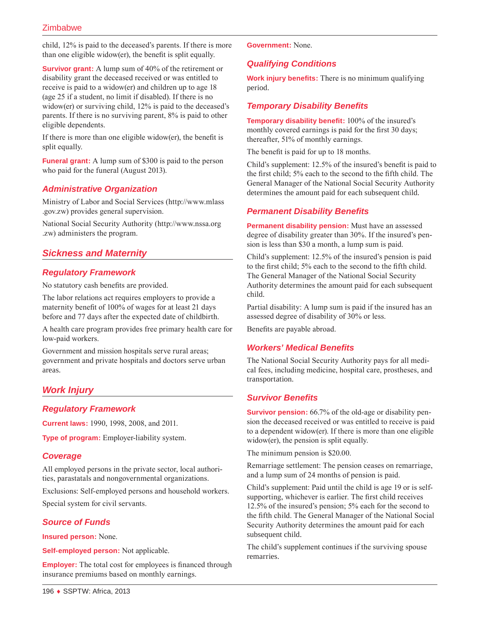child, 12% is paid to the deceased's parents. If there is more than one eligible widow(er), the benefit is split equally.

**Survivor grant:** A lump sum of 40% of the retirement or disability grant the deceased received or was entitled to receive is paid to a widow(er) and children up to age 18 (age 25 if a student, no limit if disabled). If there is no widow(er) or surviving child, 12% is paid to the deceased's parents. If there is no surviving parent, 8% is paid to other eligible dependents.

If there is more than one eligible widow(er), the benefit is split equally.

**Funeral grant:** A lump sum of \$300 is paid to the person who paid for the funeral (August 2013).

# *Administrative Organization*

Ministry of Labor and Social Services ([http://www.mlass](http://www.mlass.gov.zw) [.gov.zw](http://www.mlass.gov.zw)) provides general supervision.

National Social Security Authority ([http://www.nssa.org](http://www.nssa.org.zw) [.zw\)](http://www.nssa.org.zw) administers the program.

# *Sickness and Maternity*

### *Regulatory Framework*

No statutory cash benefits are provided.

The labor relations act requires employers to provide a maternity benefit of 100% of wages for at least 21 days before and 77 days after the expected date of childbirth.

A health care program provides free primary health care for low-paid workers.

Government and mission hospitals serve rural areas; government and private hospitals and doctors serve urban areas.

# *Work Injury*

# *Regulatory Framework*

**Current laws:** 1990, 1998, 2008, and 2011.

**Type of program:** Employer-liability system.

### *Coverage*

All employed persons in the private sector, local authorities, parastatals and nongovernmental organizations.

Exclusions: Self-employed persons and household workers. Special system for civil servants.

# *Source of Funds*

**Insured person:** None.

**Self-employed person:** Not applicable.

**Employer:** The total cost for employees is financed through insurance premiums based on monthly earnings.

**Government:** None.

# *Qualifying Conditions*

**Work injury benefits:** There is no minimum qualifying period.

# *Temporary Disability Benefits*

**Temporary disability benefit:** 100% of the insured's monthly covered earnings is paid for the first 30 days; thereafter, 51% of monthly earnings.

The benefit is paid for up to 18 months.

Child's supplement: 12.5% of the insured's benefit is paid to the first child; 5% each to the second to the fifth child. The General Manager of the National Social Security Authority determines the amount paid for each subsequent child.

# *Permanent Disability Benefits*

**Permanent disability pension:** Must have an assessed degree of disability greater than 30%. If the insured's pension is less than \$30 a month, a lump sum is paid.

Child's supplement: 12.5% of the insured's pension is paid to the first child; 5% each to the second to the fifth child. The General Manager of the National Social Security Authority determines the amount paid for each subsequent child.

Partial disability: A lump sum is paid if the insured has an assessed degree of disability of 30% or less.

Benefits are payable abroad.

### *Workers' Medical Benefits*

The National Social Security Authority pays for all medical fees, including medicine, hospital care, prostheses, and transportation.

# *Survivor Benefits*

**Survivor pension:** 66.7% of the old-age or disability pension the deceased received or was entitled to receive is paid to a dependent widow(er). If there is more than one eligible widow(er), the pension is split equally.

The minimum pension is \$20.00.

Remarriage settlement: The pension ceases on remarriage, and a lump sum of 24 months of pension is paid.

Child's supplement: Paid until the child is age 19 or is selfsupporting, whichever is earlier. The first child receives 12.5% of the insured's pension; 5% each for the second to the fifth child. The General Manager of the National Social Security Authority determines the amount paid for each subsequent child.

The child's supplement continues if the surviving spouse remarries.